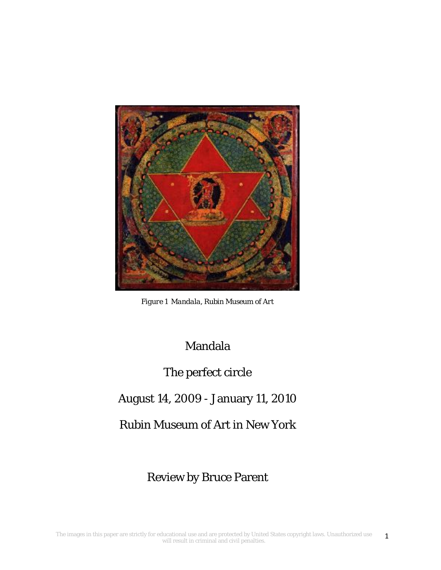

*Figure 1 Mandala, Rubin Museum of Art* 

Mandala

# The perfect circle

# August 14, 2009 - January 11, 2010

Rubin Museum of Art in New York

# Review by Bruce Parent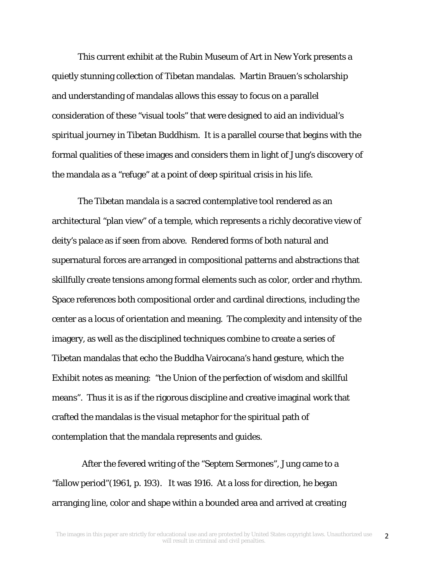This current exhibit at the Rubin Museum of Art in New York presents a quietly stunning collection of Tibetan mandalas. Martin Brauen's scholarship and understanding of mandalas allows this essay to focus on a parallel consideration of these "visual tools" that were designed to aid an individual's spiritual journey in Tibetan Buddhism. It is a parallel course that begins with the formal qualities of these images and considers them in light of Jung's discovery of the mandala as a "refuge" at a point of deep spiritual crisis in his life.

The Tibetan mandala is a sacred contemplative tool rendered as an architectural "plan view" of a temple, which represents a richly decorative view of deity's palace as if seen from above. Rendered forms of both natural and supernatural forces are arranged in compositional patterns and abstractions that skillfully create tensions among formal elements such as color, order and rhythm. Space references both compositional order and cardinal directions, including the center as a locus of orientation and meaning. The complexity and intensity of the imagery, as well as the disciplined techniques combine to create a series of Tibetan mandalas that echo the Buddha Vairocana's hand gesture, which the Exhibit notes as meaning: "the Union of the perfection of wisdom and skillful means". Thus it is as if the rigorous discipline and creative imaginal work that crafted the mandalas is the visual metaphor for the spiritual path of contemplation that the mandala represents and guides.

 After the fevered writing of the "Septem Sermones", Jung came to a "fallow period"(1961, p. 193). It was 1916. At a loss for direction, he began arranging line, color and shape within a bounded area and arrived at creating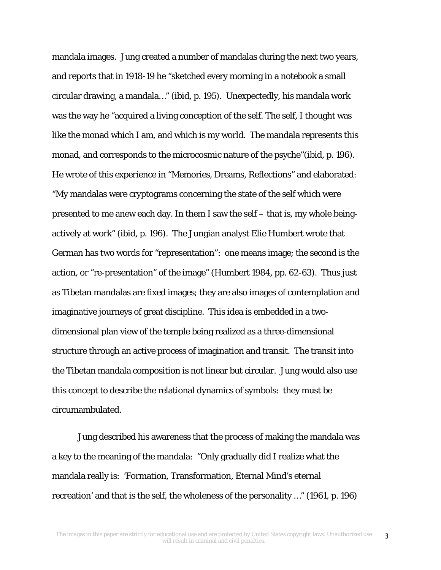mandala images. Jung created a number of mandalas during the next two years, and reports that in 1918-19 he "sketched every morning in a notebook a small circular drawing, a mandala…" (ibid, p. 195). Unexpectedly, his mandala work was the way he "acquired a living conception of the self. The self, I thought was like the monad which I am, and which is my world. The mandala represents this monad, and corresponds to the microcosmic nature of the psyche"(ibid, p. 196). He wrote of this experience in "Memories, Dreams, Reflections" and elaborated: "My mandalas were cryptograms concerning the state of the self which were presented to me anew each day. In them I saw the self – that is, my whole beingactively at work" (ibid, p. 196). The Jungian analyst Elie Humbert wrote that German has two words for "representation": one means image; the second is the action, or "re-presentation" of the image" (Humbert 1984, pp. 62-63). Thus just as Tibetan mandalas are fixed images; they are also images of contemplation and imaginative journeys of great discipline. This idea is embedded in a twodimensional plan view of the temple being realized as a three-dimensional structure through an active process of imagination and transit. The transit into the Tibetan mandala composition is not linear but circular. Jung would also use this concept to describe the relational dynamics of symbols: they must be circumambulated.

Jung described his awareness that the process of making the mandala was a key to the meaning of the mandala: "Only gradually did I realize what the mandala really is: 'Formation, Transformation, Eternal Mind's eternal recreation' and that is the self, the wholeness of the personality …" (1961, p. 196)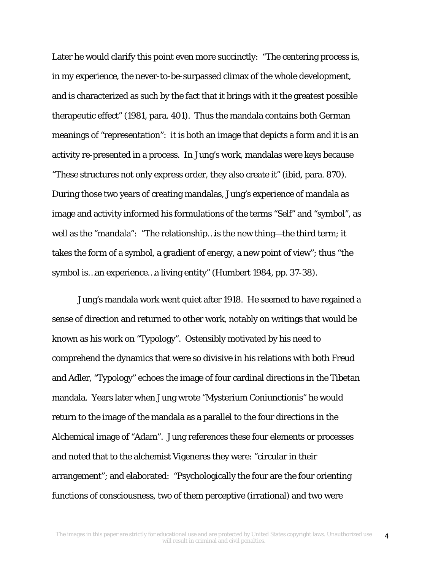Later he would clarify this point even more succinctly: "The centering process is, in my experience, the never-to-be-surpassed climax of the whole development, and is characterized as such by the fact that it brings with it the greatest possible therapeutic effect" (1981, para. 401). Thus the mandala contains both German meanings of "representation": it is both an image that depicts a form and it is an activity re-presented in a process. In Jung's work, mandalas were keys because "These structures not only express order, they also create it" (ibid, para. 870). During those two years of creating mandalas, Jung's experience of mandala as image and activity informed his formulations of the terms "Self" and "symbol", as well as the "mandala": "The relationship…is the new thing—the third term; it takes the form of a symbol, a gradient of energy, a new point of view"; thus "the symbol is…an experience…a living entity" (Humbert 1984, pp. 37-38).

Jung's mandala work went quiet after 1918. He seemed to have regained a sense of direction and returned to other work, notably on writings that would be known as his work on "Typology". Ostensibly motivated by his need to comprehend the dynamics that were so divisive in his relations with both Freud and Adler, "Typology" echoes the image of four cardinal directions in the Tibetan mandala. Years later when Jung wrote "Mysterium Coniunctionis" he would return to the image of the mandala as a parallel to the four directions in the Alchemical image of "Adam". Jung references these four elements or processes and noted that to the alchemist Vigeneres they were: "circular in their arrangement"; and elaborated: "Psychologically the four are the four orienting functions of consciousness, two of them perceptive (irrational) and two were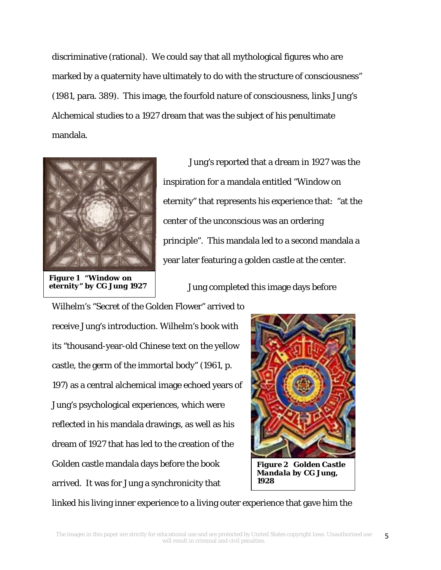discriminative (rational). We could say that all mythological figures who are marked by a quaternity have ultimately to do with the structure of consciousness" (1981, para. 389). This image, the fourfold nature of consciousness, links Jung's Alchemical studies to a 1927 dream that was the subject of his penultimate mandala.



*Figure 1 "Window on eternity" by CG Jung 1927* 

Jung's reported that a dream in 1927 was the inspiration for a mandala entitled "Window on eternity" that represents his experience that: "at the center of the unconscious was an ordering principle". This mandala led to a second mandala a year later featuring a golden castle at the center.

Jung completed this image days before

Wilhelm's "Secret of the Golden Flower" arrived to receive Jung's introduction. Wilhelm's book with its "thousand-year-old Chinese text on the yellow castle, the germ of the immortal body" (1961, p. 197) as a central alchemical image echoed years of Jung's psychological experiences, which were reflected in his mandala drawings, as well as his dream of 1927 that has led to the creation of the Golden castle mandala days before the book arrived. It was for Jung a synchronicity that



*Figure 2 Golden Castle Mandala by CG Jung, 1928* 

linked his living inner experience to a living outer experience that gave him the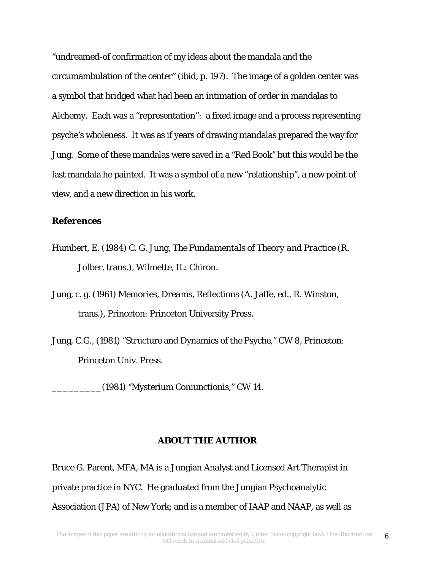"undreamed-of confirmation of my ideas about the mandala and the circumambulation of the center" (ibid, p. 197). The image of a golden center was a symbol that bridged what had been an intimation of order in mandalas to Alchemy. Each was a "representation": a fixed image and a process representing psyche's wholeness. It was as if years of drawing mandalas prepared the way for Jung. Some of these mandalas were saved in a "Red Book" but this would be the last mandala he painted. It was a symbol of a new "relationship", a new point of view, and a new direction in his work.

#### **References**

- Humbert, E. (1984) C. G. Jung, *The Fundamentals of Theory and Practice* (R. Jolber, trans.), Wilmette, IL: Chiron.
- Jung, c. g. (1961) *Memories, Dreams, Reflections* (A. Jaffe, ed., R. Winston, trans.), Princeton: Princeton University Press.
- Jung, C.G., (1981) "Structure and Dynamics of the Psyche," CW 8, Princeton: Princeton Univ. Press.

\_\_\_\_\_\_\_\_\_(1981) "Mysterium Coniunctionis," CW 14.

#### **ABOUT THE AUTHOR**

Bruce G. Parent, MFA, MA is a Jungian Analyst and Licensed Art Therapist in private practice in NYC. He graduated from the Jungian Psychoanalytic Association (JPA) of New York; and is a member of IAAP and NAAP, as well as